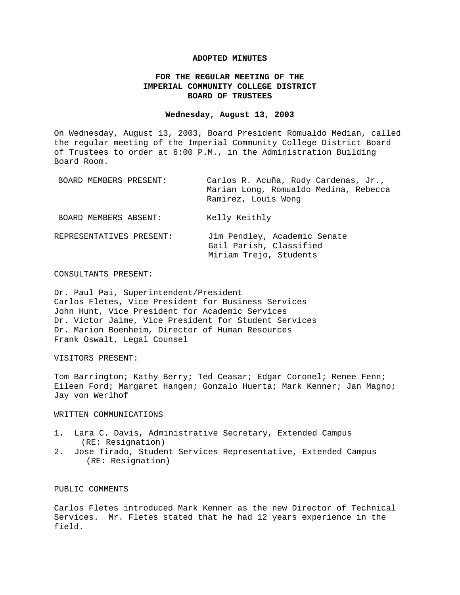#### **ADOPTED MINUTES**

# **FOR THE REGULAR MEETING OF THE IMPERIAL COMMUNITY COLLEGE DISTRICT BOARD OF TRUSTEES**

## **Wednesday, August 13, 2003**

On Wednesday, August 13, 2003, Board President Romualdo Median, called the regular meeting of the Imperial Community College District Board of Trustees to order at 6:00 P.M., in the Administration Building Board Room.

| BOARD MEMBERS PRESENT:   | Carlos R. Acuña, Rudy Cardenas, Jr.,<br>Marian Long, Romualdo Medina, Rebecca<br>Ramirez, Louis Wonq |
|--------------------------|------------------------------------------------------------------------------------------------------|
| BOARD MEMBERS ABSENT:    | Kelly Keithly                                                                                        |
| REPRESENTATIVES PRESENT: | Jim Pendley, Academic Senate<br>Gail Parish, Classified<br>Miriam Trejo, Students                    |

## CONSULTANTS PRESENT:

Dr. Paul Pai, Superintendent/President Carlos Fletes, Vice President for Business Services John Hunt, Vice President for Academic Services Dr. Victor Jaime, Vice President for Student Services Dr. Marion Boenheim, Director of Human Resources Frank Oswalt, Legal Counsel

#### VISITORS PRESENT:

Tom Barrington; Kathy Berry; Ted Ceasar; Edgar Coronel; Renee Fenn; Eileen Ford; Margaret Hangen; Gonzalo Huerta; Mark Kenner; Jan Magno; Jay von Werlhof

#### WRITTEN COMMUNICATIONS

- 1. Lara C. Davis, Administrative Secretary, Extended Campus (RE: Resignation)
- 2. Jose Tirado, Student Services Representative, Extended Campus (RE: Resignation)

## PUBLIC COMMENTS

Carlos Fletes introduced Mark Kenner as the new Director of Technical Services. Mr. Fletes stated that he had 12 years experience in the field.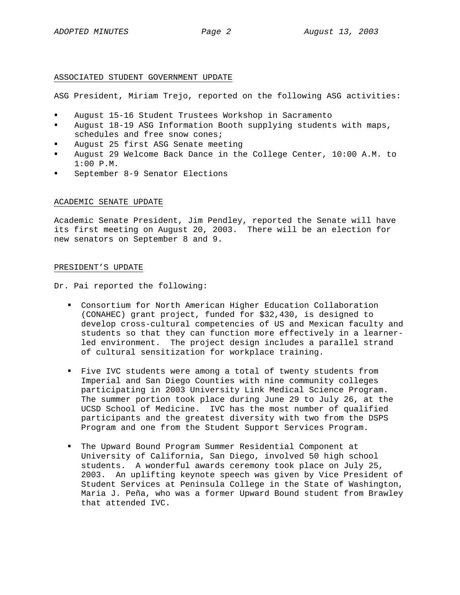#### ASSOCIATED STUDENT GOVERNMENT UPDATE

ASG President, Miriam Trejo, reported on the following ASG activities:

- August 15-16 Student Trustees Workshop in Sacramento
- August 18-19 ASG Information Booth supplying students with maps, schedules and free snow cones;
- August 25 first ASG Senate meeting
- August 29 Welcome Back Dance in the College Center, 10:00 A.M. to 1:00 P.M.
- September 8-9 Senator Elections

#### ACADEMIC SENATE UPDATE

Academic Senate President, Jim Pendley, reported the Senate will have its first meeting on August 20, 2003. There will be an election for new senators on September 8 and 9.

#### PRESIDENT'S UPDATE

Dr. Pai reported the following:

- Consortium for North American Higher Education Collaboration (CONAHEC) grant project, funded for \$32,430, is designed to develop cross-cultural competencies of US and Mexican faculty and students so that they can function more effectively in a learnerled environment. The project design includes a parallel strand of cultural sensitization for workplace training.
- Five IVC students were among a total of twenty students from Imperial and San Diego Counties with nine community colleges participating in 2003 University Link Medical Science Program. The summer portion took place during June 29 to July 26, at the UCSD School of Medicine. IVC has the most number of qualified participants and the greatest diversity with two from the DSPS Program and one from the Student Support Services Program.
- The Upward Bound Program Summer Residential Component at University of California, San Diego, involved 50 high school students. A wonderful awards ceremony took place on July 25, 2003. An uplifting keynote speech was given by Vice President of Student Services at Peninsula College in the State of Washington, Maria J. Peña, who was a former Upward Bound student from Brawley that attended IVC.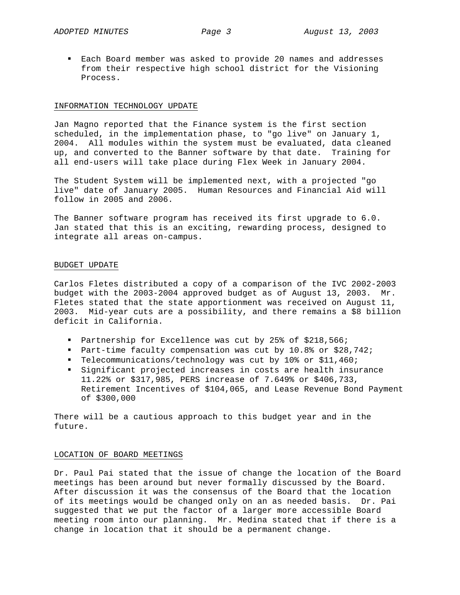Each Board member was asked to provide 20 names and addresses from their respective high school district for the Visioning Process.

#### INFORMATION TECHNOLOGY UPDATE

Jan Magno reported that the Finance system is the first section scheduled, in the implementation phase, to "go live" on January 1, 2004. All modules within the system must be evaluated, data cleaned up, and converted to the Banner software by that date. Training for all end-users will take place during Flex Week in January 2004.

The Student System will be implemented next, with a projected "go live" date of January 2005. Human Resources and Financial Aid will follow in 2005 and 2006.

The Banner software program has received its first upgrade to 6.0. Jan stated that this is an exciting, rewarding process, designed to integrate all areas on-campus.

#### BUDGET UPDATE

Carlos Fletes distributed a copy of a comparison of the IVC 2002-2003 budget with the 2003-2004 approved budget as of August 13, 2003. Mr. Fletes stated that the state apportionment was received on August 11, 2003. Mid-year cuts are a possibility, and there remains a \$8 billion deficit in California.

- Partnership for Excellence was cut by 25% of \$218,566;
- Part-time faculty compensation was cut by 10.8% or \$28,742;
- Telecommunications/technology was cut by 10% or \$11,460;
- Significant projected increases in costs are health insurance 11.22% or \$317,985, PERS increase of 7.649% or \$406,733, Retirement Incentives of \$104,065, and Lease Revenue Bond Payment of \$300,000

There will be a cautious approach to this budget year and in the future.

## LOCATION OF BOARD MEETINGS

Dr. Paul Pai stated that the issue of change the location of the Board meetings has been around but never formally discussed by the Board. After discussion it was the consensus of the Board that the location of its meetings would be changed only on an as needed basis. Dr. Pai suggested that we put the factor of a larger more accessible Board meeting room into our planning. Mr. Medina stated that if there is a change in location that it should be a permanent change.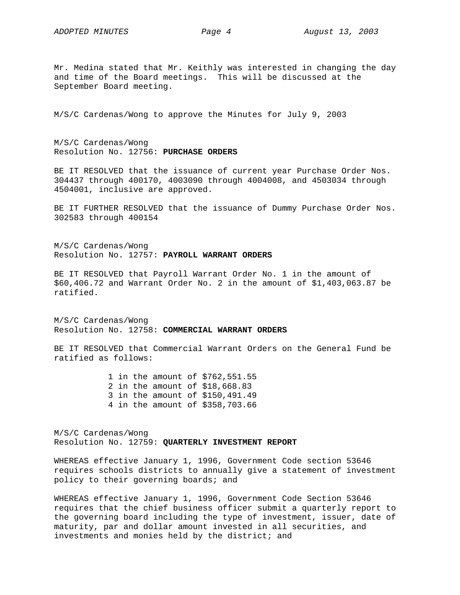Mr. Medina stated that Mr. Keithly was interested in changing the day and time of the Board meetings. This will be discussed at the September Board meeting.

M/S/C Cardenas/Wong to approve the Minutes for July 9, 2003

M/S/C Cardenas/Wong Resolution No. 12756: **PURCHASE ORDERS**

BE IT RESOLVED that the issuance of current year Purchase Order Nos. 304437 through 400170, 4003090 through 4004008, and 4503034 through 4504001, inclusive are approved.

BE IT FURTHER RESOLVED that the issuance of Dummy Purchase Order Nos. 302583 through 400154

M/S/C Cardenas/Wong Resolution No. 12757: **PAYROLL WARRANT ORDERS**

BE IT RESOLVED that Payroll Warrant Order No. 1 in the amount of \$60,406.72 and Warrant Order No. 2 in the amount of \$1,403,063.87 be ratified.

M/S/C Cardenas/Wong Resolution No. 12758: **COMMERCIAL WARRANT ORDERS**

BE IT RESOLVED that Commercial Warrant Orders on the General Fund be ratified as follows:

> 1 in the amount of \$762,551.55 2 in the amount of \$18,668.83 3 in the amount of \$150,491.49 4 in the amount of \$358,703.66

M/S/C Cardenas/Wong Resolution No. 12759: **QUARTERLY INVESTMENT REPORT**

WHEREAS effective January 1, 1996, Government Code section 53646 requires schools districts to annually give a statement of investment policy to their governing boards; and

WHEREAS effective January 1, 1996, Government Code Section 53646 requires that the chief business officer submit a quarterly report to the governing board including the type of investment, issuer, date of maturity, par and dollar amount invested in all securities, and investments and monies held by the district; and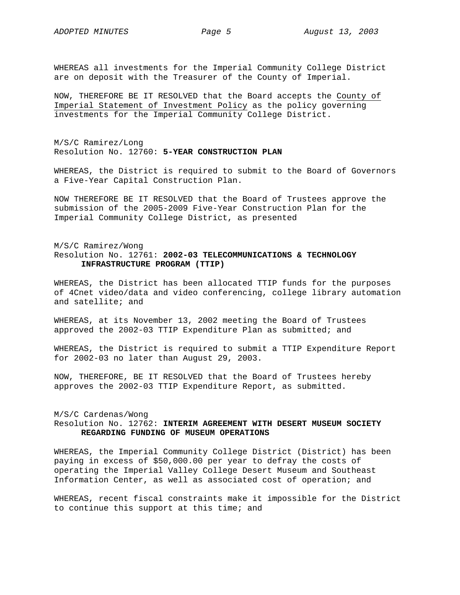WHEREAS all investments for the Imperial Community College District are on deposit with the Treasurer of the County of Imperial.

NOW, THEREFORE BE IT RESOLVED that the Board accepts the County of Imperial Statement of Investment Policy as the policy governing investments for the Imperial Community College District.

M/S/C Ramirez/Long Resolution No. 12760: **5-YEAR CONSTRUCTION PLAN**

WHEREAS, the District is required to submit to the Board of Governors a Five-Year Capital Construction Plan.

NOW THEREFORE BE IT RESOLVED that the Board of Trustees approve the submission of the 2005-2009 Five-Year Construction Plan for the Imperial Community College District, as presented

# M/S/C Ramirez/Wong Resolution No. 12761: **2002-03 TELECOMMUNICATIONS & TECHNOLOGY INFRASTRUCTURE PROGRAM (TTIP)**

WHEREAS, the District has been allocated TTIP funds for the purposes of 4Cnet video/data and video conferencing, college library automation and satellite; and

WHEREAS, at its November 13, 2002 meeting the Board of Trustees approved the 2002-03 TTIP Expenditure Plan as submitted; and

WHEREAS, the District is required to submit a TTIP Expenditure Report for 2002-03 no later than August 29, 2003.

NOW, THEREFORE, BE IT RESOLVED that the Board of Trustees hereby approves the 2002-03 TTIP Expenditure Report, as submitted.

## M/S/C Cardenas/Wong Resolution No. 12762: **INTERIM AGREEMENT WITH DESERT MUSEUM SOCIETY REGARDING FUNDING OF MUSEUM OPERATIONS**

WHEREAS, the Imperial Community College District (District) has been paying in excess of \$50,000.00 per year to defray the costs of operating the Imperial Valley College Desert Museum and Southeast Information Center, as well as associated cost of operation; and

WHEREAS, recent fiscal constraints make it impossible for the District to continue this support at this time; and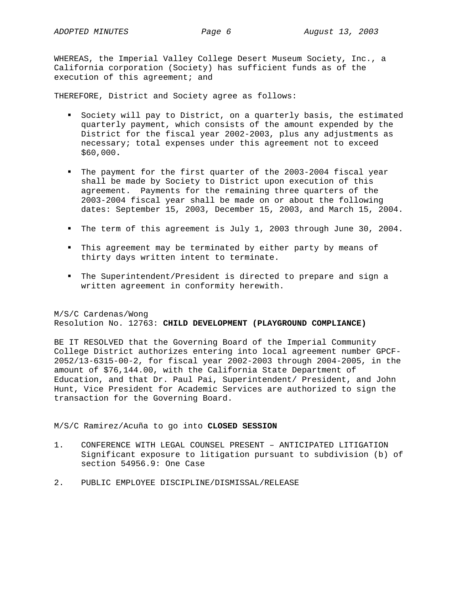WHEREAS, the Imperial Valley College Desert Museum Society, Inc., a California corporation (Society) has sufficient funds as of the execution of this agreement; and

THEREFORE, District and Society agree as follows:

- Society will pay to District, on a quarterly basis, the estimated quarterly payment, which consists of the amount expended by the District for the fiscal year 2002-2003, plus any adjustments as necessary; total expenses under this agreement not to exceed \$60,000**.**
- The payment for the first quarter of the 2003-2004 fiscal year shall be made by Society to District upon execution of this agreement. Payments for the remaining three quarters of the 2003-2004 fiscal year shall be made on or about the following dates: September 15, 2003, December 15, 2003, and March 15, 2004.
- The term of this agreement is July 1, 2003 through June 30, 2004.
- This agreement may be terminated by either party by means of thirty days written intent to terminate.
- The Superintendent/President is directed to prepare and sign a written agreement in conformity herewith.

M/S/C Cardenas/Wong Resolution No. 12763: **CHILD DEVELOPMENT (PLAYGROUND COMPLIANCE)**

BE IT RESOLVED that the Governing Board of the Imperial Community College District authorizes entering into local agreement number GPCF-2052/13-6315-00-2, for fiscal year 2002-2003 through 2004-2005, in the amount of \$76,144.00, with the California State Department of Education, and that Dr. Paul Pai, Superintendent/ President, and John Hunt, Vice President for Academic Services are authorized to sign the transaction for the Governing Board.

M/S/C Ramirez/Acuña to go into **CLOSED SESSION** 

- 1. CONFERENCE WITH LEGAL COUNSEL PRESENT ANTICIPATED LITIGATION Significant exposure to litigation pursuant to subdivision (b) of section 54956.9: One Case
- 2. PUBLIC EMPLOYEE DISCIPLINE/DISMISSAL/RELEASE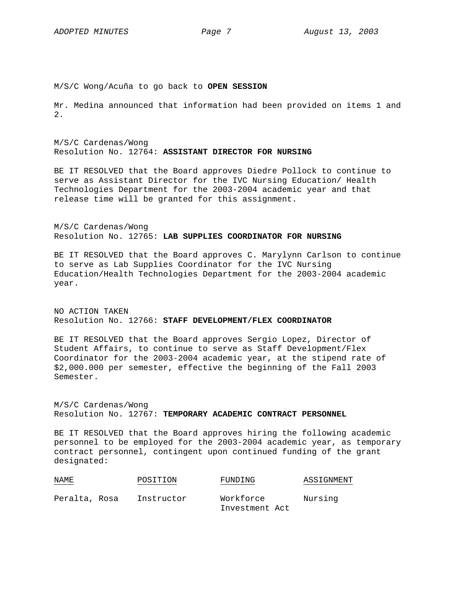M/S/C Wong/Acuña to go back to **OPEN SESSION**

Mr. Medina announced that information had been provided on items 1 and 2.

M/S/C Cardenas/Wong Resolution No. 12764: **ASSISTANT DIRECTOR FOR NURSING**

BE IT RESOLVED that the Board approves Diedre Pollock to continue to serve as Assistant Director for the IVC Nursing Education/ Health Technologies Department for the 2003-2004 academic year and that release time will be granted for this assignment.

M/S/C Cardenas/Wong Resolution No. 12765: **LAB SUPPLIES COORDINATOR FOR NURSING**

BE IT RESOLVED that the Board approves C. Marylynn Carlson to continue to serve as Lab Supplies Coordinator for the IVC Nursing Education/Health Technologies Department for the 2003-2004 academic year.

NO ACTION TAKEN Resolution No. 12766: **STAFF DEVELOPMENT/FLEX COORDINATOR**

BE IT RESOLVED that the Board approves Sergio Lopez, Director of Student Affairs, to continue to serve as Staff Development/Flex Coordinator for the 2003-2004 academic year, at the stipend rate of \$2,000.000 per semester, effective the beginning of the Fall 2003 Semester.

M/S/C Cardenas/Wong Resolution No. 12767: **TEMPORARY ACADEMIC CONTRACT PERSONNEL**

BE IT RESOLVED that the Board approves hiring the following academic personnel to be employed for the 2003-2004 academic year, as temporary contract personnel, contingent upon continued funding of the grant designated:

| NAME<br><b>Contract Contract Contract</b> | POSITION   | FUNDING                     | ASSIGNMENT |  |
|-------------------------------------------|------------|-----------------------------|------------|--|
| Peralta, Rosa                             | Instructor | Workforce<br>Investment Act | Nursing    |  |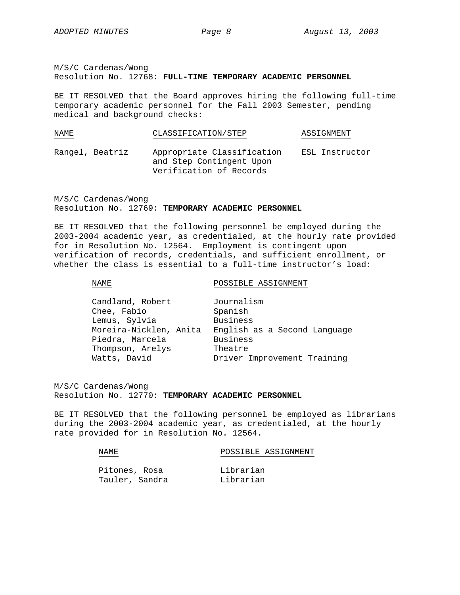M/S/C Cardenas/Wong Resolution No. 12768: **FULL-TIME TEMPORARY ACADEMIC PERSONNEL**

BE IT RESOLVED that the Board approves hiring the following full-time temporary academic personnel for the Fall 2003 Semester, pending medical and background checks:

| NAME            | CLASSIFICATION/STEP                                                               | ASSIGNMENT     |
|-----------------|-----------------------------------------------------------------------------------|----------------|
| Rangel, Beatriz | Appropriate Classification<br>and Step Contingent Upon<br>Verification of Records | ESL Instructor |

M/S/C Cardenas/Wong Resolution No. 12769: **TEMPORARY ACADEMIC PERSONNEL**

BE IT RESOLVED that the following personnel be employed during the 2003-2004 academic year, as credentialed, at the hourly rate provided for in Resolution No. 12564. Employment is contingent upon verification of records, credentials, and sufficient enrollment, or whether the class is essential to a full-time instructor's load:

NAME POSSIBLE ASSIGNMENT

| Candland, Robert       | Journalism                   |
|------------------------|------------------------------|
| Chee, Fabio            | Spanish                      |
| Lemus, Sylvia          | <b>Business</b>              |
| Moreira-Nicklen, Anita | English as a Second Language |
| Piedra, Marcela        | <b>Business</b>              |
| Thompson, Arelys       | Theatre                      |
| Watts, David           | Driver Improvement Training  |

M/S/C Cardenas/Wong Resolution No. 12770: **TEMPORARY ACADEMIC PERSONNEL**

BE IT RESOLVED that the following personnel be employed as librarians during the 2003-2004 academic year, as credentialed, at the hourly rate provided for in Resolution No. 12564.

| NAMF.         | POSSIBLE ASSIGNMENT |  |  |
|---------------|---------------------|--|--|
|               |                     |  |  |
| Pitones, Rosa | Librarian           |  |  |

| Pitones, Rosa  | Librarian |
|----------------|-----------|
| Tauler, Sandra | Librarian |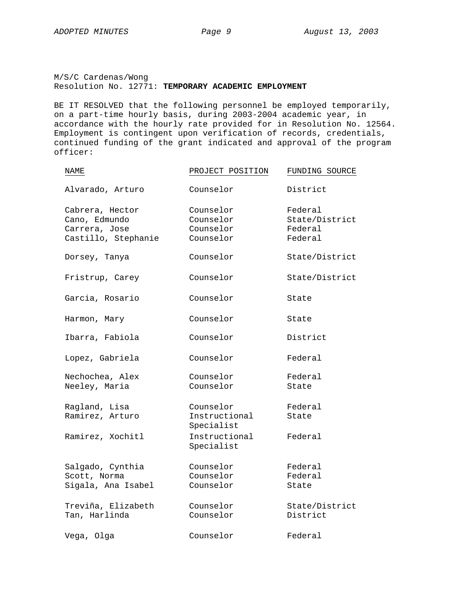M/S/C Cardenas/Wong Resolution No. 12771: **TEMPORARY ACADEMIC EMPLOYMENT**

BE IT RESOLVED that the following personnel be employed temporarily, on a part-time hourly basis, during 2003-2004 academic year, in accordance with the hourly rate provided for in Resolution No. 12564. Employment is contingent upon verification of records, credentials, continued funding of the grant indicated and approval of the program officer:

| NAME                                                                     | PROJECT POSITION                                 | FUNDING SOURCE                                  |
|--------------------------------------------------------------------------|--------------------------------------------------|-------------------------------------------------|
| Alvarado, Arturo                                                         | Counselor                                        | District                                        |
| Cabrera, Hector<br>Cano, Edmundo<br>Carrera, Jose<br>Castillo, Stephanie | Counselor<br>Counselor<br>Counselor<br>Counselor | Federal<br>State/District<br>Federal<br>Federal |
| Dorsey, Tanya                                                            | Counselor                                        | State/District                                  |
| Fristrup, Carey                                                          | Counselor                                        | State/District                                  |
| Garcia, Rosario                                                          | Counselor                                        | State                                           |
| Harmon, Mary                                                             | Counselor                                        | State                                           |
| Ibarra, Fabiola                                                          | Counselor                                        | District                                        |
| Lopez, Gabriela                                                          | Counselor                                        | Federal                                         |
| Nechochea, Alex<br>Neeley, Maria                                         | Counselor<br>Counselor                           | Federal<br>State                                |
| Ragland, Lisa<br>Ramirez, Arturo                                         | Counselor<br>Instructional<br>Specialist         | Federal<br>State                                |
| Ramirez, Xochitl                                                         | Instructional<br>Specialist                      | Federal                                         |
| Salgado, Cynthia<br>Scott, Norma<br>Sigala, Ana Isabel                   | Counselor<br>Counselor<br>Counselor              | Federal<br>Federal<br>State                     |
| Treviña, Elizabeth<br>Tan, Harlinda                                      | Counselor<br>Counselor                           | State/District<br>District                      |
| Vega, Olga                                                               | Counselor                                        | Federal                                         |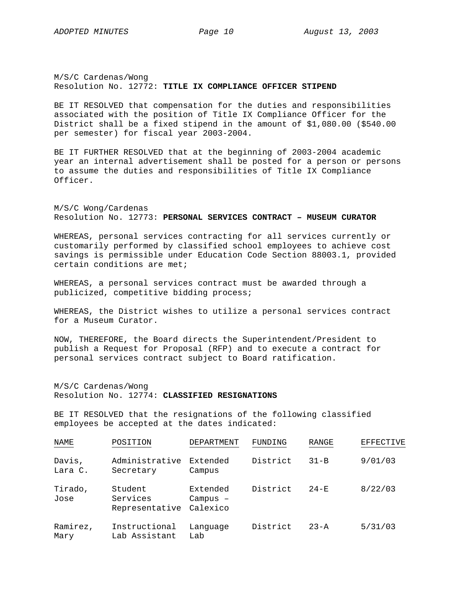M/S/C Cardenas/Wong Resolution No. 12772: **TITLE IX COMPLIANCE OFFICER STIPEND**

BE IT RESOLVED that compensation for the duties and responsibilities associated with the position of Title IX Compliance Officer for the District shall be a fixed stipend in the amount of \$1,080.00 (\$540.00 per semester) for fiscal year 2003-2004.

BE IT FURTHER RESOLVED that at the beginning of 2003-2004 academic year an internal advertisement shall be posted for a person or persons to assume the duties and responsibilities of Title IX Compliance Officer.

M/S/C Wong/Cardenas Resolution No. 12773: **PERSONAL SERVICES CONTRACT – MUSEUM CURATOR**

WHEREAS, personal services contracting for all services currently or customarily performed by classified school employees to achieve cost savings is permissible under Education Code Section 88003.1, provided certain conditions are met;

WHEREAS, a personal services contract must be awarded through a publicized, competitive bidding process;

WHEREAS, the District wishes to utilize a personal services contract for a Museum Curator.

NOW, THEREFORE, the Board directs the Superintendent/President to publish a Request for Proposal (RFP) and to execute a contract for personal services contract subject to Board ratification.

M/S/C Cardenas/Wong Resolution No. 12774: **CLASSIFIED RESIGNATIONS**

BE IT RESOLVED that the resignations of the following classified employees be accepted at the dates indicated:

| NAME              | POSITION                              | DEPARTMENT                         | FUNDING  | RANGE    | <b>EFFECTIVE</b> |
|-------------------|---------------------------------------|------------------------------------|----------|----------|------------------|
| Davis,<br>Lara C. | Administrative<br>Secretary           | Extended<br>Campus                 | District | $31 - B$ | 9/01/03          |
| Tirado,<br>Jose   | Student<br>Services<br>Representative | Extended<br>$Campus$ -<br>Calexico | District | $24-E$   | 8/22/03          |
| Ramirez,<br>Mary  | Instructional<br>Lab Assistant        | Language<br>Lab                    | District | $23 - A$ | 5/31/03          |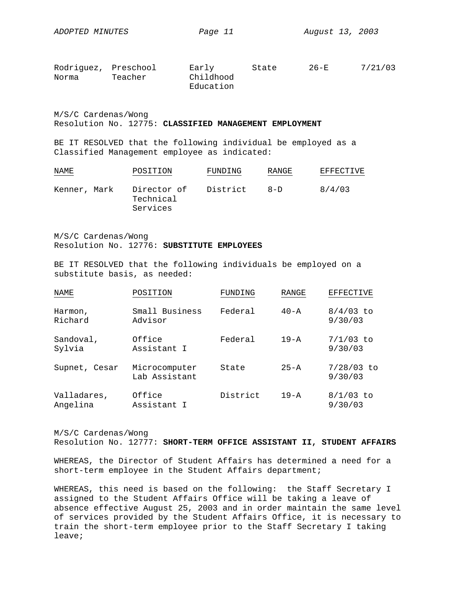| Rodriguez, Preschool |         | Early     | State | $26-E$ | 7/21/03 |
|----------------------|---------|-----------|-------|--------|---------|
| Norma                | Teacher | Childhood |       |        |         |
|                      |         | Education |       |        |         |

M/S/C Cardenas/Wong Resolution No. 12775: **CLASSIFIED MANAGEMENT EMPLOYMENT**

BE IT RESOLVED that the following individual be employed as a Classified Management employee as indicated:

| NAME         | POSITION                             | FUNDING  | RANGE   | EFFECTIVE |
|--------------|--------------------------------------|----------|---------|-----------|
| Kenner, Mark | Director of<br>Technical<br>Services | District | $R - D$ | 8/4/03    |

M/S/C Cardenas/Wong Resolution No. 12776: **SUBSTITUTE EMPLOYEES**

BE IT RESOLVED that the following individuals be employed on a substitute basis, as needed:

| NAME                    | POSITION                       | FUNDING  | RANGE    | <b>EFFECTIVE</b>        |
|-------------------------|--------------------------------|----------|----------|-------------------------|
| Harmon,<br>Richard      | Small Business<br>Advisor      | Federal  | $40 - A$ | $8/4/03$ to<br>9/30/03  |
| Sandoval,<br>Sylvia     | Office<br>Assistant I          | Federal  | $19 - A$ | $7/1/03$ to<br>9/30/03  |
| Supnet, Cesar           | Microcomputer<br>Lab Assistant | State    | $25 - A$ | $7/28/03$ to<br>9/30/03 |
| Valladares,<br>Angelina | Office<br>Assistant I          | District | $19 - A$ | $8/1/03$ to<br>9/30/03  |

M/S/C Cardenas/Wong

Resolution No. 12777: **SHORT-TERM OFFICE ASSISTANT II, STUDENT AFFAIRS** 

WHEREAS, the Director of Student Affairs has determined a need for a short-term employee in the Student Affairs department;

WHEREAS, this need is based on the following: the Staff Secretary I assigned to the Student Affairs Office will be taking a leave of absence effective August 25, 2003 and in order maintain the same level of services provided by the Student Affairs Office, it is necessary to train the short-term employee prior to the Staff Secretary I taking leave;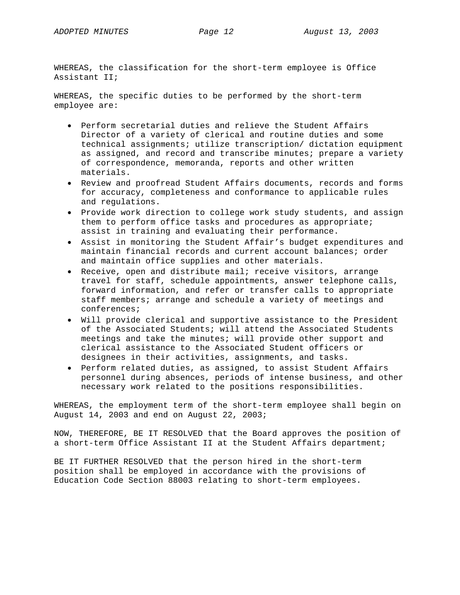WHEREAS, the classification for the short-term employee is Office Assistant II;

WHEREAS, the specific duties to be performed by the short-term employee are:

- Perform secretarial duties and relieve the Student Affairs Director of a variety of clerical and routine duties and some technical assignments; utilize transcription/ dictation equipment as assigned, and record and transcribe minutes; prepare a variety of correspondence, memoranda, reports and other written materials.
- Review and proofread Student Affairs documents, records and forms for accuracy, completeness and conformance to applicable rules and regulations.
- Provide work direction to college work study students, and assign them to perform office tasks and procedures as appropriate; assist in training and evaluating their performance.
- Assist in monitoring the Student Affair's budget expenditures and maintain financial records and current account balances; order and maintain office supplies and other materials.
- Receive, open and distribute mail; receive visitors, arrange travel for staff, schedule appointments, answer telephone calls, forward information, and refer or transfer calls to appropriate staff members; arrange and schedule a variety of meetings and conferences;
- Will provide clerical and supportive assistance to the President of the Associated Students; will attend the Associated Students meetings and take the minutes; will provide other support and clerical assistance to the Associated Student officers or designees in their activities, assignments, and tasks.
- Perform related duties, as assigned, to assist Student Affairs personnel during absences, periods of intense business, and other necessary work related to the positions responsibilities.

WHEREAS, the employment term of the short-term employee shall begin on August 14, 2003 and end on August 22, 2003;

NOW, THEREFORE, BE IT RESOLVED that the Board approves the position of a short-term Office Assistant II at the Student Affairs department;

BE IT FURTHER RESOLVED that the person hired in the short-term position shall be employed in accordance with the provisions of Education Code Section 88003 relating to short-term employees.